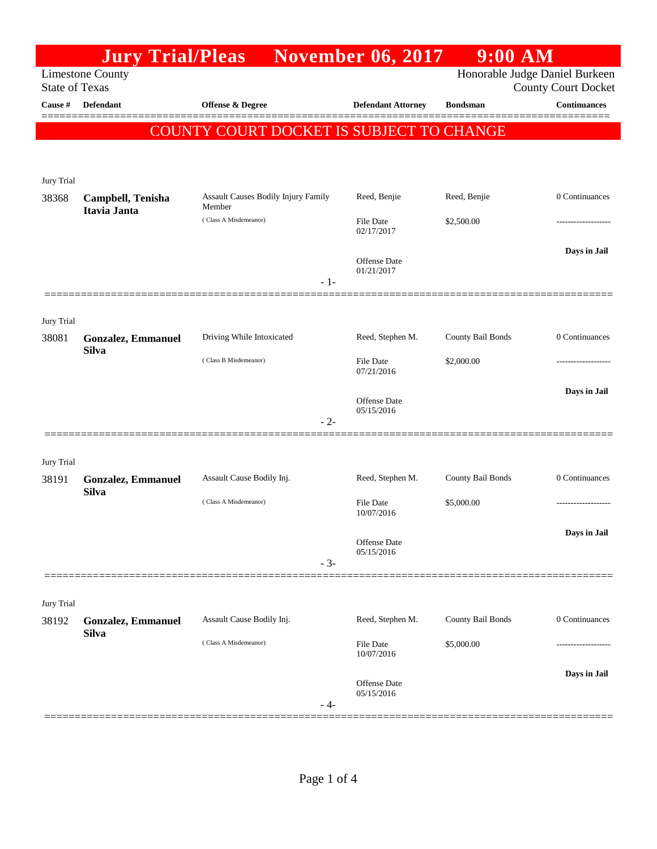|                                                                                    | <b>Jury Trial/Pleas</b>   |                                          | <b>November 06, 2017</b>       | $9:00$ AM         |                                                   |  |  |
|------------------------------------------------------------------------------------|---------------------------|------------------------------------------|--------------------------------|-------------------|---------------------------------------------------|--|--|
| Honorable Judge Daniel Burkeen<br><b>Limestone County</b><br><b>State of Texas</b> |                           |                                          |                                |                   |                                                   |  |  |
| Cause #                                                                            | Defendant                 | <b>Offense &amp; Degree</b>              | <b>Defendant Attorney</b>      | <b>Bondsman</b>   | <b>County Court Docket</b><br><b>Continuances</b> |  |  |
|                                                                                    |                           |                                          |                                |                   |                                                   |  |  |
|                                                                                    |                           | COUNTY COURT DOCKET IS SUBJECT TO CHANGE |                                |                   |                                                   |  |  |
|                                                                                    |                           |                                          |                                |                   |                                                   |  |  |
|                                                                                    |                           |                                          |                                |                   |                                                   |  |  |
| Jury Trial<br>38368                                                                | Campbell, Tenisha         | Assault Causes Bodily Injury Family      | Reed, Benjie                   | Reed, Benjie      | 0 Continuances                                    |  |  |
|                                                                                    | Itavia Janta              | Member                                   |                                |                   |                                                   |  |  |
|                                                                                    |                           | (Class A Misdemeanor)                    | File Date<br>02/17/2017        | \$2,500.00        |                                                   |  |  |
|                                                                                    |                           |                                          |                                |                   | Days in Jail                                      |  |  |
|                                                                                    |                           |                                          | Offense Date<br>01/21/2017     |                   |                                                   |  |  |
|                                                                                    |                           | $-1-$                                    |                                |                   |                                                   |  |  |
|                                                                                    |                           |                                          |                                |                   |                                                   |  |  |
| Jury Trial                                                                         |                           |                                          |                                |                   |                                                   |  |  |
| 38081                                                                              | Gonzalez, Emmanuel        | Driving While Intoxicated                | Reed, Stephen M.               | County Bail Bonds | 0 Continuances                                    |  |  |
|                                                                                    | <b>Silva</b>              | (Class B Misdemeanor)                    | <b>File Date</b>               | \$2,000.00        | -----------------                                 |  |  |
|                                                                                    |                           |                                          | 07/21/2016                     |                   |                                                   |  |  |
|                                                                                    |                           |                                          | Offense Date                   |                   | Days in Jail                                      |  |  |
|                                                                                    |                           | $-2-$                                    | 05/15/2016                     |                   |                                                   |  |  |
|                                                                                    |                           |                                          |                                |                   |                                                   |  |  |
| Jury Trial                                                                         |                           |                                          |                                |                   |                                                   |  |  |
| 38191                                                                              | <b>Gonzalez, Emmanuel</b> | Assault Cause Bodily Inj.                | Reed, Stephen M.               | County Bail Bonds | 0 Continuances                                    |  |  |
|                                                                                    | <b>Silva</b>              |                                          |                                |                   |                                                   |  |  |
|                                                                                    |                           | (Class A Misdemeanor)                    | <b>File Date</b><br>10/07/2016 | \$5,000.00        | -------------------                               |  |  |
|                                                                                    |                           |                                          |                                |                   | Days in Jail                                      |  |  |
|                                                                                    |                           |                                          | Offense Date<br>05/15/2016     |                   |                                                   |  |  |
|                                                                                    |                           | $-3-$                                    |                                |                   |                                                   |  |  |
|                                                                                    |                           |                                          |                                |                   |                                                   |  |  |
| Jury Trial                                                                         |                           |                                          |                                |                   |                                                   |  |  |
| 38192                                                                              | <b>Gonzalez, Emmanuel</b> | Assault Cause Bodily Inj.                | Reed, Stephen M.               | County Bail Bonds | 0 Continuances                                    |  |  |
|                                                                                    | <b>Silva</b>              | (Class A Misdemeanor)                    | File Date                      | \$5,000.00        | .                                                 |  |  |
|                                                                                    |                           |                                          | 10/07/2016                     |                   |                                                   |  |  |
|                                                                                    |                           |                                          | Offense Date                   |                   | Days in Jail                                      |  |  |
|                                                                                    |                           | - 4-                                     | 05/15/2016                     |                   |                                                   |  |  |
|                                                                                    |                           |                                          |                                |                   |                                                   |  |  |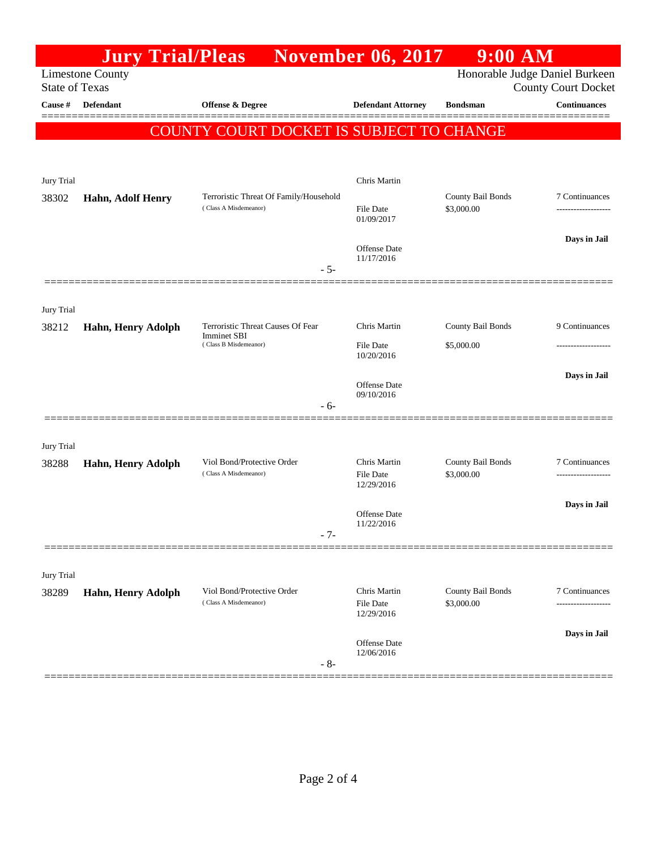|                                                                                    | <b>Jury Trial/Pleas</b>  |                                                                          | <b>November 06, 2017</b>                | $9:00$ AM                       |                            |
|------------------------------------------------------------------------------------|--------------------------|--------------------------------------------------------------------------|-----------------------------------------|---------------------------------|----------------------------|
| <b>Limestone County</b><br>Honorable Judge Daniel Burkeen<br><b>State of Texas</b> |                          |                                                                          |                                         |                                 | <b>County Court Docket</b> |
| Cause #                                                                            | Defendant                | <b>Offense &amp; Degree</b>                                              | <b>Defendant Attorney</b>               | <b>Bondsman</b>                 | <b>Continuances</b>        |
|                                                                                    |                          | COUNTY COURT DOCKET IS SUBJECT TO CHANGE                                 |                                         |                                 |                            |
|                                                                                    |                          |                                                                          |                                         |                                 |                            |
| Jury Trial                                                                         |                          |                                                                          | Chris Martin                            |                                 |                            |
| 38302                                                                              | <b>Hahn, Adolf Henry</b> | Terroristic Threat Of Family/Household<br>(Class A Misdemeanor)<br>$-5-$ |                                         | County Bail Bonds<br>\$3,000.00 | 7 Continuances             |
|                                                                                    |                          |                                                                          | File Date<br>01/09/2017                 |                                 | ------------------         |
|                                                                                    |                          |                                                                          | Offense Date                            |                                 | Days in Jail               |
|                                                                                    |                          |                                                                          | 11/17/2016                              |                                 |                            |
|                                                                                    |                          |                                                                          |                                         |                                 |                            |
| Jury Trial                                                                         |                          |                                                                          |                                         |                                 |                            |
| 38212                                                                              | Hahn, Henry Adolph       | Terroristic Threat Causes Of Fear<br><b>Imminet SBI</b>                  | Chris Martin                            | County Bail Bonds               | 9 Continuances             |
|                                                                                    |                          | (Class B Misdemeanor)                                                    | <b>File Date</b><br>10/20/2016          | \$5,000.00                      |                            |
|                                                                                    |                          |                                                                          |                                         |                                 | Days in Jail               |
|                                                                                    |                          |                                                                          | Offense Date<br>09/10/2016              |                                 |                            |
|                                                                                    |                          | - 6-                                                                     |                                         |                                 |                            |
|                                                                                    |                          |                                                                          |                                         |                                 |                            |
| Jury Trial<br>38288                                                                | Hahn, Henry Adolph       | Viol Bond/Protective Order<br>(Class A Misdemeanor)                      | Chris Martin                            | County Bail Bonds               | 7 Continuances             |
|                                                                                    |                          |                                                                          | <b>File Date</b><br>12/29/2016          | \$3,000.00                      | -------------------        |
|                                                                                    |                          |                                                                          |                                         |                                 | Days in Jail               |
|                                                                                    |                          |                                                                          | <b>Offense Date</b><br>11/22/2016       |                                 |                            |
|                                                                                    |                          | $-7-$                                                                    |                                         |                                 |                            |
| Jury Trial                                                                         |                          |                                                                          |                                         |                                 |                            |
| 38289                                                                              | Hahn, Henry Adolph       | Viol Bond/Protective Order<br>(Class A Misdemeanor)                      | Chris Martin<br>File Date<br>12/29/2016 | County Bail Bonds<br>\$3,000.00 | 7 Continuances             |
|                                                                                    |                          |                                                                          |                                         |                                 |                            |
|                                                                                    |                          |                                                                          |                                         |                                 | Days in Jail               |
|                                                                                    |                          | $-8-$                                                                    | Offense Date<br>12/06/2016              |                                 |                            |
|                                                                                    |                          |                                                                          |                                         |                                 |                            |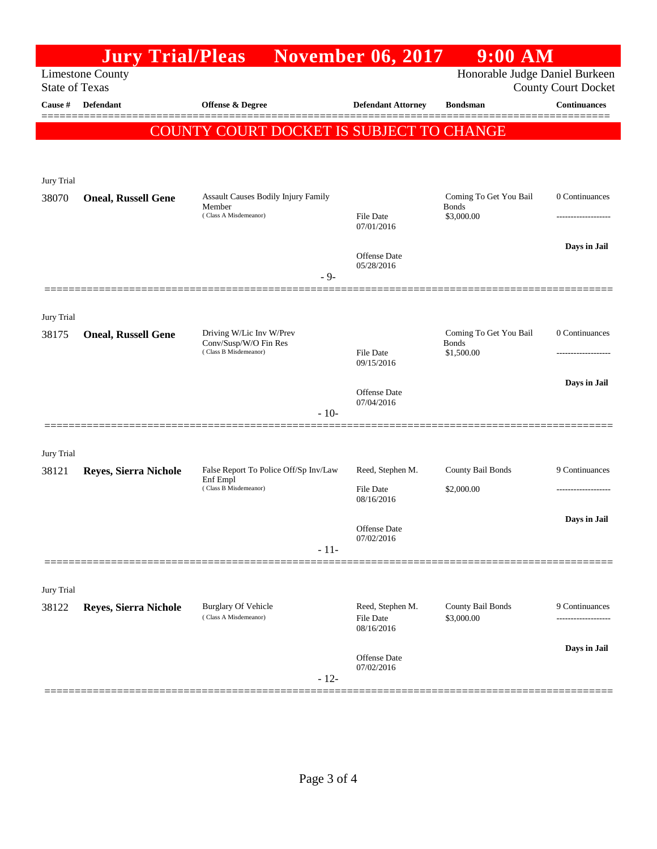|                                                                                                                  | <b>Jury Trial/Pleas</b>    |                                                      | <b>November 06, 2017</b>                    | $9:00$ AM                                            |                     |
|------------------------------------------------------------------------------------------------------------------|----------------------------|------------------------------------------------------|---------------------------------------------|------------------------------------------------------|---------------------|
| Honorable Judge Daniel Burkeen<br><b>Limestone County</b><br><b>State of Texas</b><br><b>County Court Docket</b> |                            |                                                      |                                             |                                                      |                     |
| Cause #                                                                                                          | <b>Defendant</b>           | Offense & Degree                                     | <b>Defendant Attorney</b>                   | <b>Bondsman</b>                                      | <b>Continuances</b> |
|                                                                                                                  |                            | COUNTY COURT DOCKET IS SUBJECT TO CHANGE             |                                             |                                                      |                     |
|                                                                                                                  |                            |                                                      |                                             |                                                      |                     |
| Jury Trial                                                                                                       |                            |                                                      |                                             |                                                      |                     |
| 38070                                                                                                            | <b>Oneal, Russell Gene</b> | <b>Assault Causes Bodily Injury Family</b><br>Member |                                             | Coming To Get You Bail<br><b>Bonds</b><br>\$3,000.00 | 0 Continuances      |
|                                                                                                                  |                            | (Class A Misdemeanor)                                | <b>File Date</b><br>07/01/2016              |                                                      |                     |
|                                                                                                                  |                            |                                                      | Offense Date<br>05/28/2016                  |                                                      | Days in Jail        |
|                                                                                                                  |                            | $-9-$                                                |                                             |                                                      |                     |
| Jury Trial                                                                                                       |                            |                                                      |                                             |                                                      |                     |
| 38175                                                                                                            | <b>Oneal, Russell Gene</b> | Driving W/Lic Inv W/Prev<br>Conv/Susp/W/O Fin Res    |                                             | Coming To Get You Bail<br><b>Bonds</b><br>\$1,500.00 | 0 Continuances      |
|                                                                                                                  |                            | (Class B Misdemeanor)                                | File Date<br>09/15/2016                     |                                                      |                     |
|                                                                                                                  |                            |                                                      | <b>Offense Date</b>                         |                                                      | Days in Jail        |
|                                                                                                                  |                            | $-10-$                                               | 07/04/2016                                  |                                                      |                     |
|                                                                                                                  |                            |                                                      |                                             |                                                      |                     |
| <b>Jury Trial</b><br>38121                                                                                       | Reyes, Sierra Nichole      | False Report To Police Off/Sp Inv/Law                | Reed, Stephen M.                            | County Bail Bonds                                    | 9 Continuances      |
|                                                                                                                  |                            | Enf Empl<br>(Class B Misdemeanor)                    | File Date<br>08/16/2016                     | \$2,000.00                                           | ------------------  |
|                                                                                                                  |                            |                                                      |                                             |                                                      | Days in Jail        |
|                                                                                                                  |                            | $-11-$                                               | Offense Date<br>07/02/2016                  |                                                      |                     |
|                                                                                                                  |                            |                                                      |                                             |                                                      |                     |
| Jury Trial                                                                                                       |                            |                                                      |                                             |                                                      |                     |
| 38122                                                                                                            | Reyes, Sierra Nichole      | <b>Burglary Of Vehicle</b><br>(Class A Misdemeanor)  | Reed, Stephen M.<br>File Date<br>08/16/2016 | County Bail Bonds<br>\$3,000.00                      | 9 Continuances      |
|                                                                                                                  |                            |                                                      | Offense Date<br>07/02/2016                  |                                                      | Days in Jail        |